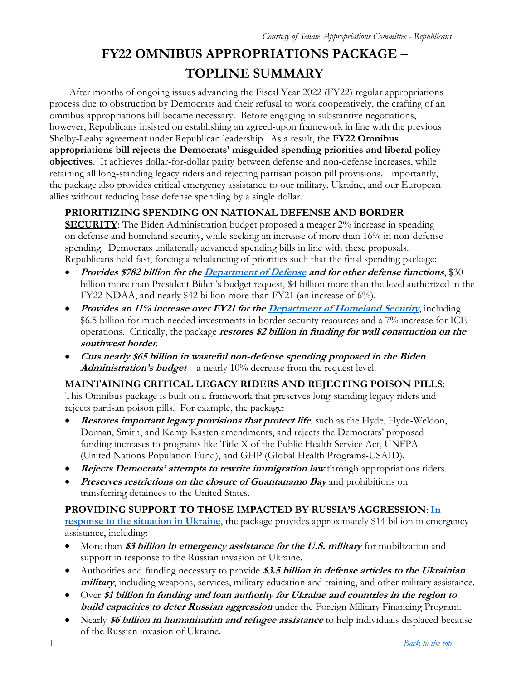# **FY22 OMNIBUS APPROPRIATIONS PACKAGE – TOPLINE SUMMARY**

After months of ongoing issues advancing the Fiscal Year 2022 (FY22) regular appropriations process due to obstruction by Democrats and their refusal to work cooperatively, the crafting of an omnibus appropriations bill became necessary. Before engaging in substantive negotiations, however, Republicans insisted on establishing an agreed-upon framework in line with the previous Shelby-Leahy agreement under Republican leadership. As a result, the **FY22 Omnibus appropriations bill rejects the Democrats' misguided spending priorities and liberal policy objectives**. It achieves dollar-for-dollar parity between defense and non-defense increases, while retaining all long-standing legacy riders and rejecting partisan poison pill provisions. Importantly, the package also provides critical emergency assistance to our military, Ukraine, and our European allies without reducing base defense spending by a single dollar.

## **PRIORITIZING SPENDING ON NATIONAL DEFENSE AND BORDER**

**SECURITY**: The Biden Administration budget proposed a meager 2% increase in spending on defense and homeland security, while seeking an increase of more than 16% in non-defense spending. Democrats unilaterally advanced spending bills in line with these proposals. Republicans held fast, forcing a rebalancing of priorities such that the final spending package:

- **Provides \$782 billion for th[e Department of Defense](#page-3-0) and for other defense functions**, \$30 billion more than President Biden's budget request, \$4 billion more than the level authorized in the FY22 NDAA, and nearly \$42 billion more than FY21 (an increase of 6%).
- **•** Provides an 11% increase over FY21 for th[e Department of Homeland Security](#page-11-0), including \$6.5 billion for much needed investments in border security resources and a 7% increase for ICE operations. Critically, the package **restores \$2 billion in funding for wall construction on the southwest border**.
- **Cuts nearly \$65 billion in wasteful non-defense spending proposed in the Biden Administration's budget** – a nearly 10% decrease from the request level.

#### **MAINTAINING CRITICAL LEGACY RIDERS AND REJECTING POISON PILLS**:

This Omnibus package is built on a framework that preserves long-standing legacy riders and rejects partisan poison pills. For example, the package:

- **•** Restores important legacy provisions that protect life, such as the Hyde, Hyde-Weldon, Dornan, Smith, and Kemp-Kasten amendments, and rejects the Democrats' proposed funding increases to programs like Title X of the Public Health Service Act, UNFPA (United Nations Population Fund), and GHP (Global Health Programs-USAID).
- **•** Rejects Democrats' attempts to rewrite immigration law through appropriations riders.
- **•** Preserves restrictions on the closure of Guantanamo Bay and prohibitions on transferring detainees to the United States.

#### **PROVIDING SUPPORT TO THOSE IMPACTED BY RUSSIA'S AGGRESSION**: **[In](#page-2-0)**

**[response to the situation in Ukraine](#page-2-0)**, the package provides approximately \$14 billion in emergency assistance, including:

- More than **\$3 billion in emergency assistance for the U.S. military** for mobilization and support in response to the Russian invasion of Ukraine.
- Authorities and funding necessary to provide **\$3.5 billion in defense articles to the Ukrainian military**, including weapons, services, military education and training, and other military assistance.
- Over **\$1 billion in funding and loan authority for Ukraine and countries in the region to build capacities to deter Russian aggression** under the Foreign Military Financing Program.
- Nearly **\$6 billion in humanitarian and refugee assistance** to help individuals displaced because of the Russian invasion of Ukraine.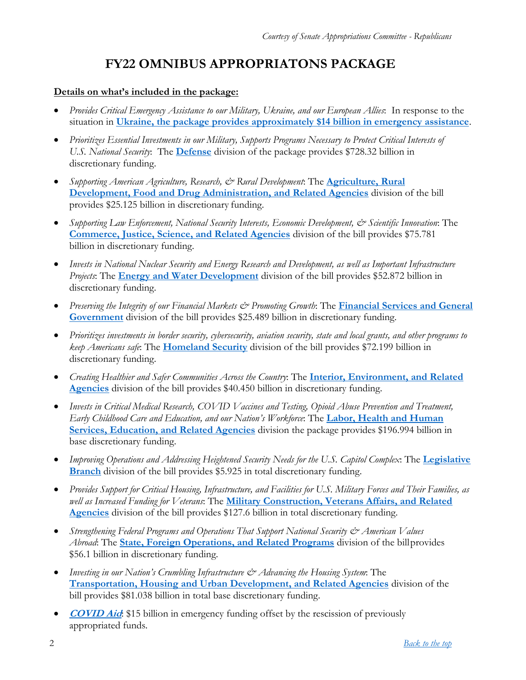# **FY22 OMNIBUS APPROPRIATONS PACKAGE**

#### <span id="page-1-0"></span>**Details on what's included in the package:**

- *Provides Critical Emergency Assistance to our Military, Ukraine, and our European Allies*: In response to the situation in **[Ukraine, the package provides approximately \\$14 billion in emergency assistance](#page-2-0)**.
- *Prioritizes Essential Investments in our Military, Supports Programs Necessary to Protect Critical Interests of U.S. National Security*: The **[Defense](#page-3-0)** division of the package provides \$728.32 billion in discretionary funding.
- *Supporting American Agriculture, Research, & Rural Development*: The **[Agriculture, Rural](#page-4-0)  [Development, Food and Drug Administration, and Related Agencies](#page-4-0)** division of the bill provides \$25.125 billion in discretionary funding.
- *Supporting Law Enforcement, National Security Interests, Economic Development, & Scientific Innovation*: The **[Commerce, Justice, Science, and Related Agencies](#page-6-0)** division of the bill provides \$75.781 billion in discretionary funding.
- *Invests in National Nuclear Security and Energy Research and Development, as well as Important Infrastructure Projects*: The **[Energy and Water Development](#page-8-0)** division of the bill provides \$52.872 billion in discretionary funding.
- *Preserving the Integrity of our Financial Markets & Promoting Growth*: The **[Financial Services and General](#page-10-0)  [Government](#page-10-0)** division of the bill provides \$25.489 billion in discretionary funding.
- *Prioritizes investments in border security, cybersecurity, aviation security, state and local grants, and other programs to keep Americans safe*: The **[Homeland Security](#page-11-0)** division of the bill provides \$72.199 billion in discretionary funding.
- *Creating Healthier and Safer Communities Across the Country*: The **[Interior, Environment, and Related](#page-13-0)  [Agencies](#page-13-0)** division of the bill provides \$40.450 billion in discretionary funding.
- *Invests in Critical Medical Research, COVID Vaccines and Testing, Opioid Abuse Prevention and Treatment, Early Childhood Care and Education, and our Nation's Workforce*: The **[Labor, Health and Human](#page-16-0)  [Services, Education, and Related Agencies](#page-16-0)** division the package provides \$196.994 billion in base discretionary funding.
- *Improving Operations and Addressing Heightened Security Needs for the U.S. Capitol Complex*: The **[Legislative](#page-19-0)  [Branch](#page-19-0)** division of the bill provides \$5.925 in total discretionary funding.
- *Provides Support for Critical Housing, Infrastructure, and Facilities for U.S. Military Forces and Their Families, as well as Increased Funding for Veterans*: The **[Military Construction, Veterans Affairs, and Related](#page-21-0)  [Agencies](#page-21-0)** division of the bill provides \$127.6 billion in total discretionary funding.
- *Strengthening Federal Programs and Operations That Support National Security & American Values Abroad*: The **[State, Foreign Operations, and Related Programs](#page-23-0)** division of the billprovides \$56.1 billion in discretionary funding.
- *Investing in our Nation's Crumbling Infrastructure & Advancing the Housing System*: The **[Transportation, Housing and Urban Development, and Related Agencies](#page-24-0)** division of the bill provides \$81.038 billion in total base discretionary funding.
- **[COVID Aid](#page-26-0):** \$15 billion in emergency funding offset by the rescission of previously appropriated funds.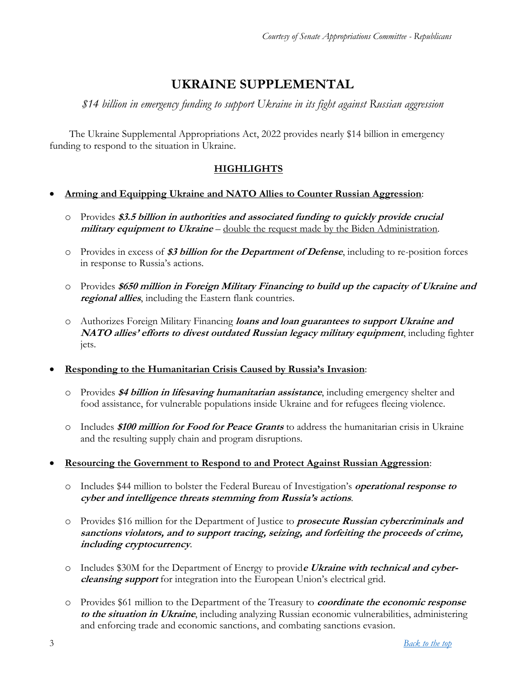# **UKRAINE SUPPLEMENTAL**

<span id="page-2-0"></span>*\$14 billion in emergency funding to support Ukraine in its fight against Russian aggression*

The Ukraine Supplemental Appropriations Act, 2022 provides nearly \$14 billion in emergency funding to respond to the situation in Ukraine.

### **HIGHLIGHTS**

#### **Arming and Equipping Ukraine and NATO Allies to Counter Russian Aggression**:

- o Provides **\$3.5 billion in authorities and associated funding to quickly provide crucial military equipment to Ukraine** – double the request made by the Biden Administration.
- o Provides in excess of **\$3 billion for the Department of Defense**, including to re-position forces in response to Russia's actions.
- o Provides **\$650 million in Foreign Military Financing to build up the capacity of Ukraine and regional allies**, including the Eastern flank countries.
- o Authorizes Foreign Military Financing **loans and loan guarantees to support Ukraine and NATO allies' efforts to divest outdated Russian legacy military equipment**, including fighter jets.
- **Responding to the Humanitarian Crisis Caused by Russia's Invasion**:
	- o Provides **\$4 billion in lifesaving humanitarian assistance**, including emergency shelter and food assistance, for vulnerable populations inside Ukraine and for refugees fleeing violence.
	- o Includes **\$100 million for Food for Peace Grants** to address the humanitarian crisis in Ukraine and the resulting supply chain and program disruptions.
- **Resourcing the Government to Respond to and Protect Against Russian Aggression**:
	- o Includes \$44 million to bolster the Federal Bureau of Investigation's **operational response to cyber and intelligence threats stemming from Russia's actions**.
	- o Provides \$16 million for the Department of Justice to **prosecute Russian cybercriminals and sanctions violators, and to support tracing, seizing, and forfeiting the proceeds of crime, including cryptocurrency**.
	- o Includes \$30M for the Department of Energy to provid**e Ukraine with technical and cybercleansing support** for integration into the European Union's electrical grid.
	- o Provides \$61 million to the Department of the Treasury to **coordinate the economic response to the situation in Ukraine**, including analyzing Russian economic vulnerabilities, administering and enforcing trade and economic sanctions, and combating sanctions evasion.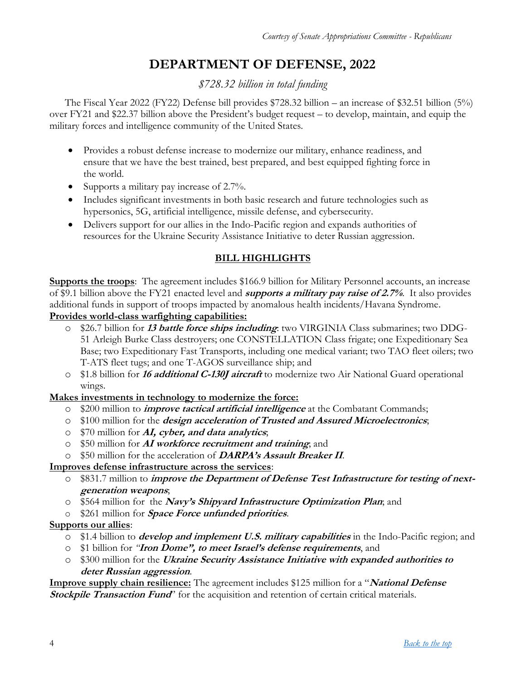# **DEPARTMENT OF DEFENSE, 2022**

*\$728.32 billion in total funding*

<span id="page-3-0"></span>The Fiscal Year 2022 (FY22) Defense bill provides \$728.32 billion – an increase of \$32.51 billion (5%) over FY21 and \$22.37 billion above the President's budget request – to develop, maintain, and equip the military forces and intelligence community of the United States.

- Provides a robust defense increase to modernize our military, enhance readiness, and ensure that we have the best trained, best prepared, and best equipped fighting force in the world.
- Supports a military pay increase of  $2.7\%$ .
- Includes significant investments in both basic research and future technologies such as hypersonics, 5G, artificial intelligence, missile defense, and cybersecurity.
- Delivers support for our allies in the Indo-Pacific region and expands authorities of resources for the Ukraine Security Assistance Initiative to deter Russian aggression.

#### **BILL HIGHLIGHTS**

**Supports the troops**: The agreement includes \$166.9 billion for Military Personnel accounts, an increase of \$9.1 billion above the FY21 enacted level and **supports a military pay raise of 2.7%**. It also provides additional funds in support of troops impacted by anomalous health incidents/Havana Syndrome.

#### **Provides world-class warfighting capabilities:**

- o \$26.7 billion for **13 battle force ships including**: two VIRGINIA Class submarines; two DDG-51 Arleigh Burke Class destroyers; one CONSTELLATION Class frigate; one Expeditionary Sea Base; two Expeditionary Fast Transports, including one medical variant; two TAO fleet oilers; two T-ATS fleet tugs; and one T-AGOS surveillance ship; and
- o \$1.8 billion for **16 additional C-130J aircraft** to modernize two Air National Guard operational wings.

#### **Makes investments in technology to modernize the force:**

- o \$200 million to **improve tactical artificial intelligence** at the Combatant Commands;
- o \$100 million for the **design acceleration of Trusted and Assured Microelectronics**;
- o \$70 million for **AI, cyber, and data analytics**;
- o \$50 million for **AI workforce recruitment and training**; and
- o \$50 million for the acceleration of **DARPA's Assault Breaker II**.

#### **Improves defense infrastructure across the services**:

- o \$831.7 million to **improve the Department of Defense Test Infrastructure for testing of nextgeneration weapons**;
- o \$564 million for the **Navy's Shipyard Infrastructure Optimization Plan**; and
- o \$261 million for **Space Force unfunded priorities**.

#### **Supports our allies**:

- o \$1.4 billion to **develop and implement U.S. military capabilities** in the Indo-Pacific region; and
- o \$1 billion for *"***Iron Dome", to meet Israel's defense requirements**, and
- o \$300 million for the **Ukraine Security Assistance Initiative with expanded authorities to deter Russian aggression**.

**Improve supply chain resilience:** The agreement includes \$125 million for a "**National Defense Stockpile Transaction Fund**" for the acquisition and retention of certain critical materials.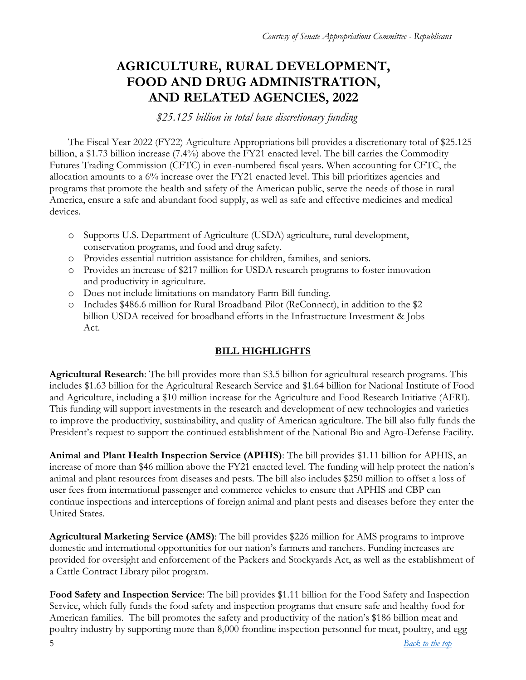## <span id="page-4-0"></span>**AGRICULTURE, RURAL DEVELOPMENT, FOOD AND DRUG ADMINISTRATION, AND RELATED AGENCIES, 2022**

*\$25.125 billion in total base discretionary funding*

The Fiscal Year 2022 (FY22) Agriculture Appropriations bill provides a discretionary total of \$25.125 billion, a \$1.73 billion increase (7.4%) above the FY21 enacted level. The bill carries the Commodity Futures Trading Commission (CFTC) in even-numbered fiscal years. When accounting for CFTC, the allocation amounts to a 6% increase over the FY21 enacted level. This bill prioritizes agencies and programs that promote the health and safety of the American public, serve the needs of those in rural America, ensure a safe and abundant food supply, as well as safe and effective medicines and medical devices.

- o Supports U.S. Department of Agriculture (USDA) agriculture, rural development, conservation programs, and food and drug safety.
- o Provides essential nutrition assistance for children, families, and seniors.
- o Provides an increase of \$217 million for USDA research programs to foster innovation and productivity in agriculture.
- o Does not include limitations on mandatory Farm Bill funding.
- o Includes \$486.6 million for Rural Broadband Pilot (ReConnect), in addition to the \$2 billion USDA received for broadband efforts in the Infrastructure Investment & Jobs Act.

## **BILL HIGHLIGHTS**

**Agricultural Research**: The bill provides more than \$3.5 billion for agricultural research programs. This includes \$1.63 billion for the Agricultural Research Service and \$1.64 billion for National Institute of Food and Agriculture, including a \$10 million increase for the Agriculture and Food Research Initiative (AFRI). This funding will support investments in the research and development of new technologies and varieties to improve the productivity, sustainability, and quality of American agriculture. The bill also fully funds the President's request to support the continued establishment of the National Bio and Agro-Defense Facility.

**Animal and Plant Health Inspection Service (APHIS)**: The bill provides \$1.11 billion for APHIS, an increase of more than \$46 million above the FY21 enacted level. The funding will help protect the nation's animal and plant resources from diseases and pests. The bill also includes \$250 million to offset a loss of user fees from international passenger and commerce vehicles to ensure that APHIS and CBP can continue inspections and interceptions of foreign animal and plant pests and diseases before they enter the United States.

**Agricultural Marketing Service (AMS)**: The bill provides \$226 million for AMS programs to improve domestic and international opportunities for our nation's farmers and ranchers. Funding increases are provided for oversight and enforcement of the Packers and Stockyards Act, as well as the establishment of a Cattle Contract Library pilot program.

**Food Safety and Inspection Service**: The bill provides \$1.11 billion for the Food Safety and Inspection Service, which fully funds the food safety and inspection programs that ensure safe and healthy food for American families. The bill promotes the safety and productivity of the nation's \$186 billion meat and poultry industry by supporting more than 8,000 frontline inspection personnel for meat, poultry, and egg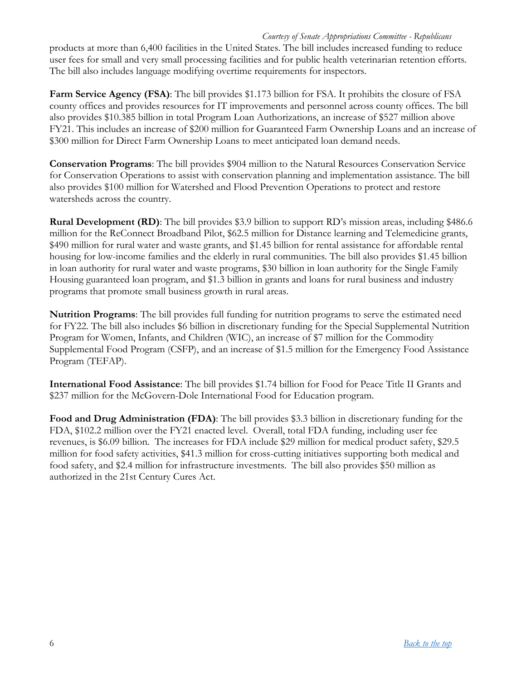#### *Courtesy of Senate Appropriations Committee - Republicans*

products at more than 6,400 facilities in the United States. The bill includes increased funding to reduce user fees for small and very small processing facilities and for public health veterinarian retention efforts. The bill also includes language modifying overtime requirements for inspectors.

**Farm Service Agency (FSA)**: The bill provides \$1.173 billion for FSA. It prohibits the closure of FSA county offices and provides resources for IT improvements and personnel across county offices. The bill also provides \$10.385 billion in total Program Loan Authorizations, an increase of \$527 million above FY21. This includes an increase of \$200 million for Guaranteed Farm Ownership Loans and an increase of \$300 million for Direct Farm Ownership Loans to meet anticipated loan demand needs.

**Conservation Programs**: The bill provides \$904 million to the Natural Resources Conservation Service for Conservation Operations to assist with conservation planning and implementation assistance. The bill also provides \$100 million for Watershed and Flood Prevention Operations to protect and restore watersheds across the country.

**Rural Development (RD)**: The bill provides \$3.9 billion to support RD's mission areas, including \$486.6 million for the ReConnect Broadband Pilot, \$62.5 million for Distance learning and Telemedicine grants, \$490 million for rural water and waste grants, and \$1.45 billion for rental assistance for affordable rental housing for low-income families and the elderly in rural communities. The bill also provides \$1.45 billion in loan authority for rural water and waste programs, \$30 billion in loan authority for the Single Family Housing guaranteed loan program, and \$1.3 billion in grants and loans for rural business and industry programs that promote small business growth in rural areas.

**Nutrition Programs**: The bill provides full funding for nutrition programs to serve the estimated need for FY22. The bill also includes \$6 billion in discretionary funding for the Special Supplemental Nutrition Program for Women, Infants, and Children (WIC), an increase of \$7 million for the Commodity Supplemental Food Program (CSFP), and an increase of \$1.5 million for the Emergency Food Assistance Program (TEFAP).

**International Food Assistance**: The bill provides \$1.74 billion for Food for Peace Title II Grants and \$237 million for the McGovern-Dole International Food for Education program.

**Food and Drug Administration (FDA)**: The bill provides \$3.3 billion in discretionary funding for the FDA, \$102.2 million over the FY21 enacted level. Overall, total FDA funding, including user fee revenues, is \$6.09 billion. The increases for FDA include \$29 million for medical product safety, \$29.5 million for food safety activities, \$41.3 million for cross-cutting initiatives supporting both medical and food safety, and \$2.4 million for infrastructure investments. The bill also provides \$50 million as authorized in the 21st Century Cures Act.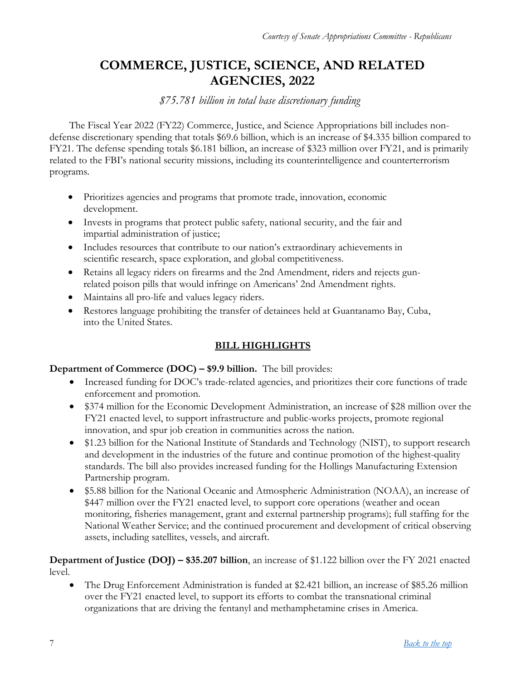# <span id="page-6-0"></span>**COMMERCE, JUSTICE, SCIENCE, AND RELATED AGENCIES, 2022**

#### *\$75.781 billion in total base discretionary funding*

The Fiscal Year 2022 (FY22) Commerce, Justice, and Science Appropriations bill includes nondefense discretionary spending that totals \$69.6 billion, which is an increase of \$4.335 billion compared to FY21. The defense spending totals \$6.181 billion, an increase of \$323 million over FY21, and is primarily related to the FBI's national security missions, including its counterintelligence and counterterrorism programs.

- Prioritizes agencies and programs that promote trade, innovation, economic development.
- Invests in programs that protect public safety, national security, and the fair and impartial administration of justice;
- Includes resources that contribute to our nation's extraordinary achievements in scientific research, space exploration, and global competitiveness.
- Retains all legacy riders on firearms and the 2nd Amendment, riders and rejects gunrelated poison pills that would infringe on Americans' 2nd Amendment rights.
- Maintains all pro-life and values legacy riders.
- Restores language prohibiting the transfer of detainees held at Guantanamo Bay, Cuba, into the United States.

## **BILL HIGHLIGHTS**

#### **Department of Commerce (DOC) – \$9.9 billion.** The bill provides:

- Increased funding for DOC's trade-related agencies, and prioritizes their core functions of trade enforcement and promotion.
- \$374 million for the Economic Development Administration, an increase of \$28 million over the FY21 enacted level, to support infrastructure and public-works projects, promote regional innovation, and spur job creation in communities across the nation.
- \$1.23 billion for the National Institute of Standards and Technology (NIST), to support research and development in the industries of the future and continue promotion of the highest-quality standards. The bill also provides increased funding for the Hollings Manufacturing Extension Partnership program.
- \$5.88 billion for the National Oceanic and Atmospheric Administration (NOAA), an increase of \$447 million over the FY21 enacted level, to support core operations (weather and ocean monitoring, fisheries management, grant and external partnership programs); full staffing for the National Weather Service; and the continued procurement and development of critical observing assets, including satellites, vessels, and aircraft.

**Department of Justice (DOJ) – \$35.207 billion**, an increase of \$1.122 billion over the FY 2021 enacted level.

 The Drug Enforcement Administration is funded at \$2.421 billion, an increase of \$85.26 million over the FY21 enacted level, to support its efforts to combat the transnational criminal organizations that are driving the fentanyl and methamphetamine crises in America.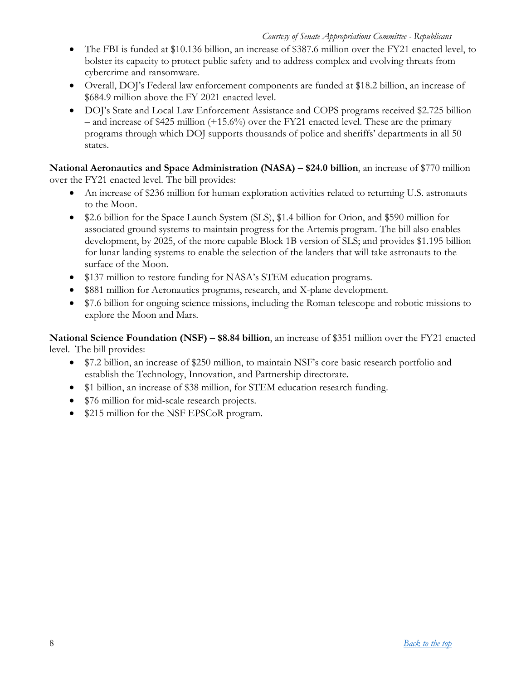- The FBI is funded at \$10.136 billion, an increase of \$387.6 million over the FY21 enacted level, to bolster its capacity to protect public safety and to address complex and evolving threats from cybercrime and ransomware.
- Overall, DOJ's Federal law enforcement components are funded at \$18.2 billion, an increase of \$684.9 million above the FY 2021 enacted level.
- DOJ's State and Local Law Enforcement Assistance and COPS programs received \$2.725 billion – and increase of \$425 million (+15.6%) over the FY21 enacted level. These are the primary programs through which DOJ supports thousands of police and sheriffs' departments in all 50 states.

**National Aeronautics and Space Administration (NASA) – \$24.0 billion**, an increase of \$770 million over the FY21 enacted level. The bill provides:

- An increase of \$236 million for human exploration activities related to returning U.S. astronauts to the Moon.
- \$2.6 billion for the Space Launch System (SLS), \$1.4 billion for Orion, and \$590 million for associated ground systems to maintain progress for the Artemis program. The bill also enables development, by 2025, of the more capable Block 1B version of SLS; and provides \$1.195 billion for lunar landing systems to enable the selection of the landers that will take astronauts to the surface of the Moon.
- \$137 million to restore funding for NASA's STEM education programs.
- \$881 million for Aeronautics programs, research, and X-plane development.
- \$7.6 billion for ongoing science missions, including the Roman telescope and robotic missions to explore the Moon and Mars.

**National Science Foundation (NSF) – \$8.84 billion**, an increase of \$351 million over the FY21 enacted level. The bill provides:

- \$7.2 billion, an increase of \$250 million, to maintain NSF's core basic research portfolio and establish the Technology, Innovation, and Partnership directorate.
- \$1 billion, an increase of \$38 million, for STEM education research funding.
- \$76 million for mid-scale research projects.
- \$215 million for the NSF EPSCoR program.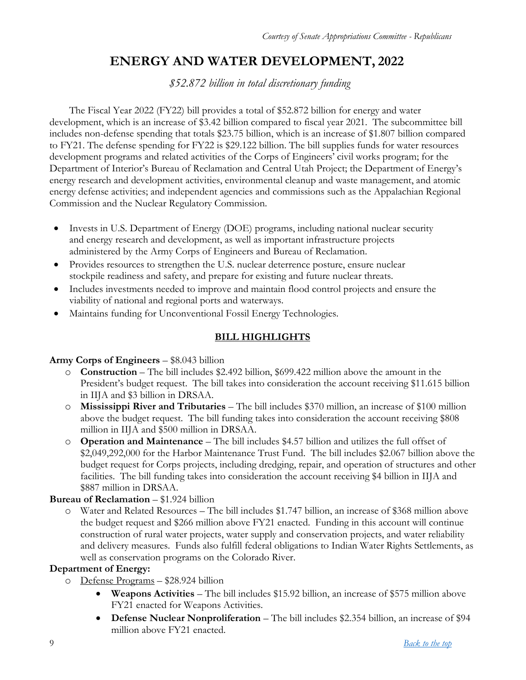# **ENERGY AND WATER DEVELOPMENT, 2022**

*\$52.872 billion in total discretionary funding*

<span id="page-8-0"></span>The Fiscal Year 2022 (FY22) bill provides a total of \$52.872 billion for energy and water development, which is an increase of \$3.42 billion compared to fiscal year 2021. The subcommittee bill includes non-defense spending that totals \$23.75 billion, which is an increase of \$1.807 billion compared to FY21. The defense spending for FY22 is \$29.122 billion. The bill supplies funds for water resources development programs and related activities of the Corps of Engineers' civil works program; for the Department of Interior's Bureau of Reclamation and Central Utah Project; the Department of Energy's energy research and development activities, environmental cleanup and waste management, and atomic energy defense activities; and independent agencies and commissions such as the Appalachian Regional Commission and the Nuclear Regulatory Commission.

- Invests in U.S. Department of Energy (DOE) programs, including national nuclear security and energy research and development, as well as important infrastructure projects administered by the Army Corps of Engineers and Bureau of Reclamation.
- Provides resources to strengthen the U.S. nuclear deterrence posture, ensure nuclear stockpile readiness and safety, and prepare for existing and future nuclear threats.
- Includes investments needed to improve and maintain flood control projects and ensure the viability of national and regional ports and waterways.
- Maintains funding for Unconventional Fossil Energy Technologies.

## **BILL HIGHLIGHTS**

#### **Army Corps of Engineers** – \$8.043 billion

- o **Construction** The bill includes \$2.492 billion, \$699.422 million above the amount in the President's budget request. The bill takes into consideration the account receiving \$11.615 billion in IIJA and \$3 billion in DRSAA.
- o **Mississippi River and Tributaries** The bill includes \$370 million, an increase of \$100 million above the budget request. The bill funding takes into consideration the account receiving \$808 million in IIJA and \$500 million in DRSAA.
- o **Operation and Maintenance** The bill includes \$4.57 billion and utilizes the full offset of \$2,049,292,000 for the Harbor Maintenance Trust Fund. The bill includes \$2.067 billion above the budget request for Corps projects, including dredging, repair, and operation of structures and other facilities. The bill funding takes into consideration the account receiving \$4 billion in IIJA and \$887 million in DRSAA.

#### **Bureau of Reclamation** – \$1.924 billion

o Water and Related Resources – The bill includes \$1.747 billion, an increase of \$368 million above the budget request and \$266 million above FY21 enacted. Funding in this account will continue construction of rural water projects, water supply and conservation projects, and water reliability and delivery measures. Funds also fulfill federal obligations to Indian Water Rights Settlements, as well as conservation programs on the Colorado River.

#### **Department of Energy:**

- o Defense Programs \$28.924 billion
	- **Weapons Activities** The bill includes \$15.92 billion, an increase of \$575 million above FY21 enacted for Weapons Activities.
	- **Defense Nuclear Nonproliferation** The bill includes \$2.354 billion, an increase of \$94 million above FY21 enacted.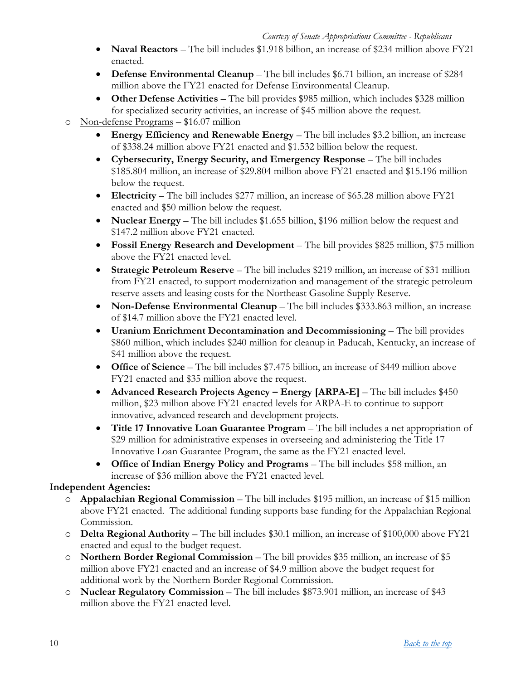- **Naval Reactors** The bill includes \$1.918 billion, an increase of \$234 million above FY21 enacted.
- **Defense Environmental Cleanup** The bill includes \$6.71 billion, an increase of \$284 million above the FY21 enacted for Defense Environmental Cleanup.
- **Other Defense Activities** The bill provides \$985 million, which includes \$328 million for specialized security activities, an increase of \$45 million above the request.
- o Non-defense Programs \$16.07 million
	- **Energy Efficiency and Renewable Energy** The bill includes \$3.2 billion, an increase of \$338.24 million above FY21 enacted and \$1.532 billion below the request.
	- **Cybersecurity, Energy Security, and Emergency Response** The bill includes \$185.804 million, an increase of \$29.804 million above FY21 enacted and \$15.196 million below the request.
	- **Electricity** The bill includes \$277 million, an increase of \$65.28 million above FY21 enacted and \$50 million below the request.
	- **Nuclear Energy** The bill includes \$1.655 billion, \$196 million below the request and \$147.2 million above FY21 enacted.
	- **Fossil Energy Research and Development** The bill provides \$825 million, \$75 million above the FY21 enacted level.
	- **Strategic Petroleum Reserve** The bill includes \$219 million, an increase of \$31 million from FY21 enacted, to support modernization and management of the strategic petroleum reserve assets and leasing costs for the Northeast Gasoline Supply Reserve.
	- **Non-Defense Environmental Cleanup** The bill includes \$333.863 million, an increase of \$14.7 million above the FY21 enacted level.
	- **Uranium Enrichment Decontamination and Decommissioning** The bill provides \$860 million, which includes \$240 million for cleanup in Paducah, Kentucky, an increase of \$41 million above the request.
	- **Office of Science** The bill includes \$7.475 billion, an increase of \$449 million above FY21 enacted and \$35 million above the request.
	- **Advanced Research Projects Agency – Energy [ARPA-E]** The bill includes \$450 million, \$23 million above FY21 enacted levels for ARPA-E to continue to support innovative, advanced research and development projects.
	- **Title 17 Innovative Loan Guarantee Program** The bill includes a net appropriation of \$29 million for administrative expenses in overseeing and administering the Title 17 Innovative Loan Guarantee Program, the same as the FY21 enacted level.
	- **Office of Indian Energy Policy and Programs** The bill includes \$58 million, an increase of \$36 million above the FY21 enacted level.

#### **Independent Agencies:**

- o **Appalachian Regional Commission** The bill includes \$195 million, an increase of \$15 million above FY21 enacted. The additional funding supports base funding for the Appalachian Regional Commission.
- o **Delta Regional Authority** The bill includes \$30.1 million, an increase of \$100,000 above FY21 enacted and equal to the budget request.
- o **Northern Border Regional Commission** The bill provides \$35 million, an increase of \$5 million above FY21 enacted and an increase of \$4.9 million above the budget request for additional work by the Northern Border Regional Commission.
- o **Nuclear Regulatory Commission** The bill includes \$873.901 million, an increase of \$43 million above the FY21 enacted level.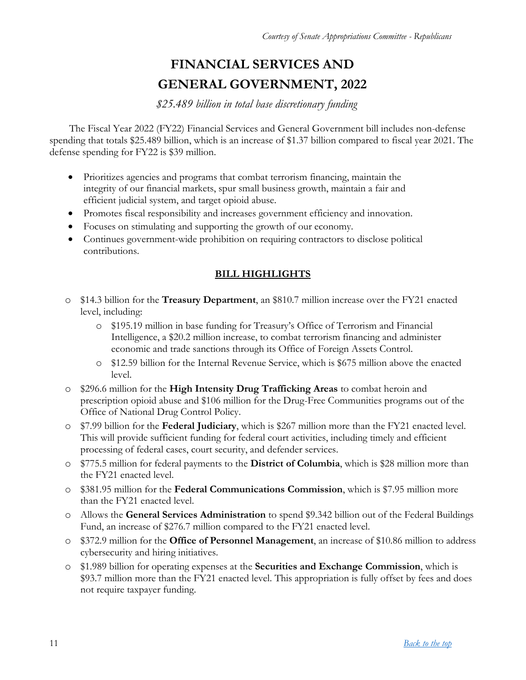# **FINANCIAL SERVICES AND GENERAL GOVERNMENT, 2022**

*\$25.489 billion in total base discretionary funding*

<span id="page-10-0"></span>The Fiscal Year 2022 (FY22) Financial Services and General Government bill includes non-defense spending that totals \$25.489 billion, which is an increase of \$1.37 billion compared to fiscal year 2021. The defense spending for FY22 is \$39 million.

- Prioritizes agencies and programs that combat terrorism financing, maintain the integrity of our financial markets, spur small business growth, maintain a fair and efficient judicial system, and target opioid abuse.
- Promotes fiscal responsibility and increases government efficiency and innovation.
- Focuses on stimulating and supporting the growth of our economy.
- Continues government-wide prohibition on requiring contractors to disclose political contributions.

#### **BILL HIGHLIGHTS**

- o \$14.3 billion for the **Treasury Department**, an \$810.7 million increase over the FY21 enacted level, including:
	- o \$195.19 million in base funding for Treasury's Office of Terrorism and Financial Intelligence, a \$20.2 million increase, to combat terrorism financing and administer economic and trade sanctions through its Office of Foreign Assets Control.
	- o \$12.59 billion for the Internal Revenue Service, which is \$675 million above the enacted level.
- o \$296.6 million for the **High Intensity Drug Trafficking Areas** to combat heroin and prescription opioid abuse and \$106 million for the Drug-Free Communities programs out of the Office of National Drug Control Policy.
- o \$7.99 billion for the **Federal Judiciary**, which is \$267 million more than the FY21 enacted level. This will provide sufficient funding for federal court activities, including timely and efficient processing of federal cases, court security, and defender services.
- o \$775.5 million for federal payments to the **District of Columbia**, which is \$28 million more than the FY21 enacted level.
- o \$381.95 million for the **Federal Communications Commission**, which is \$7.95 million more than the FY21 enacted level.
- o Allows the **General Services Administration** to spend \$9.342 billion out of the Federal Buildings Fund, an increase of \$276.7 million compared to the FY21 enacted level.
- o \$372.9 million for the **Office of Personnel Management**, an increase of \$10.86 million to address cybersecurity and hiring initiatives.
- o \$1.989 billion for operating expenses at the **Securities and Exchange Commission**, which is \$93.7 million more than the FY21 enacted level. This appropriation is fully offset by fees and does not require taxpayer funding.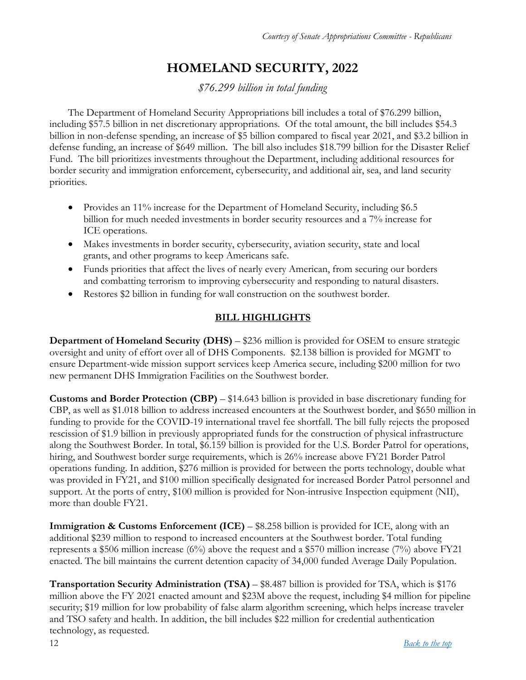# **HOMELAND SECURITY, 2022**

*\$76.299 billion in total funding*

<span id="page-11-0"></span>The Department of Homeland Security Appropriations bill includes a total of \$76.299 billion, including \$57.5 billion in net discretionary appropriations. Of the total amount, the bill includes \$54.3 billion in non-defense spending, an increase of \$5 billion compared to fiscal year 2021, and \$3.2 billion in defense funding, an increase of \$649 million. The bill also includes \$18.799 billion for the Disaster Relief Fund. The bill prioritizes investments throughout the Department, including additional resources for border security and immigration enforcement, cybersecurity, and additional air, sea, and land security priorities.

- Provides an 11% increase for the Department of Homeland Security, including \$6.5 billion for much needed investments in border security resources and a 7% increase for ICE operations.
- Makes investments in border security, cybersecurity, aviation security, state and local grants, and other programs to keep Americans safe.
- Funds priorities that affect the lives of nearly every American, from securing our borders and combatting terrorism to improving cybersecurity and responding to natural disasters.
- Restores \$2 billion in funding for wall construction on the southwest border.

## **BILL HIGHLIGHTS**

**Department of Homeland Security (DHS)** – \$236 million is provided for OSEM to ensure strategic oversight and unity of effort over all of DHS Components. \$2.138 billion is provided for MGMT to ensure Department-wide mission support services keep America secure, including \$200 million for two new permanent DHS Immigration Facilities on the Southwest border.

**Customs and Border Protection (CBP)** – \$14.643 billion is provided in base discretionary funding for CBP, as well as \$1.018 billion to address increased encounters at the Southwest border, and \$650 million in funding to provide for the COVID-19 international travel fee shortfall. The bill fully rejects the proposed rescission of \$1.9 billion in previously appropriated funds for the construction of physical infrastructure along the Southwest Border. In total, \$6.159 billion is provided for the U.S. Border Patrol for operations, hiring, and Southwest border surge requirements, which is 26% increase above FY21 Border Patrol operations funding. In addition, \$276 million is provided for between the ports technology, double what was provided in FY21, and \$100 million specifically designated for increased Border Patrol personnel and support. At the ports of entry, \$100 million is provided for Non-intrusive Inspection equipment (NII), more than double FY21.

**Immigration & Customs Enforcement (ICE)** – \$8.258 billion is provided for ICE, along with an additional \$239 million to respond to increased encounters at the Southwest border. Total funding represents a \$506 million increase (6%) above the request and a \$570 million increase (7%) above FY21 enacted. The bill maintains the current detention capacity of 34,000 funded Average Daily Population.

**Transportation Security Administration (TSA)** – \$8.487 billion is provided for TSA, which is \$176 million above the FY 2021 enacted amount and \$23M above the request, including \$4 million for pipeline security; \$19 million for low probability of false alarm algorithm screening, which helps increase traveler and TSO safety and health. In addition, the bill includes \$22 million for credential authentication technology, as requested.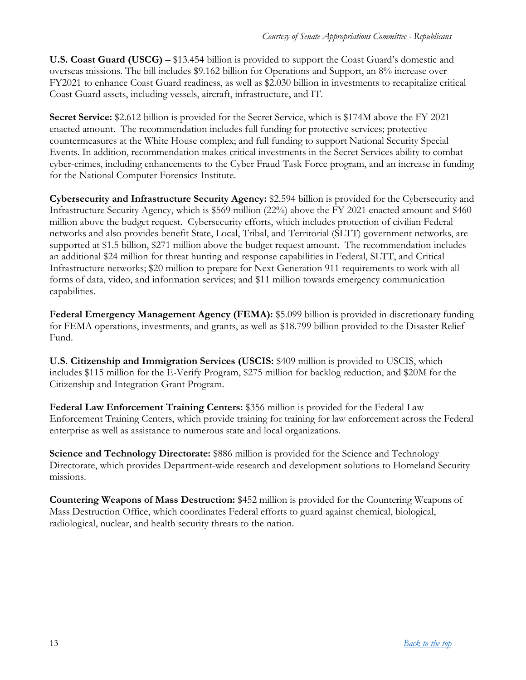**U.S. Coast Guard (USCG)** – \$13.454 billion is provided to support the Coast Guard's domestic and overseas missions. The bill includes \$9.162 billion for Operations and Support, an 8% increase over FY2021 to enhance Coast Guard readiness, as well as \$2.030 billion in investments to recapitalize critical Coast Guard assets, including vessels, aircraft, infrastructure, and IT.

**Secret Service:** \$2.612 billion is provided for the Secret Service, which is \$174M above the FY 2021 enacted amount. The recommendation includes full funding for protective services; protective countermeasures at the White House complex; and full funding to support National Security Special Events. In addition, recommendation makes critical investments in the Secret Services ability to combat cyber-crimes, including enhancements to the Cyber Fraud Task Force program, and an increase in funding for the National Computer Forensics Institute.

**Cybersecurity and Infrastructure Security Agency:** \$2.594 billion is provided for the Cybersecurity and Infrastructure Security Agency, which is \$569 million (22%) above the FY 2021 enacted amount and \$460 million above the budget request. Cybersecurity efforts, which includes protection of civilian Federal networks and also provides benefit State, Local, Tribal, and Territorial (SLTT) government networks, are supported at \$1.5 billion, \$271 million above the budget request amount. The recommendation includes an additional \$24 million for threat hunting and response capabilities in Federal, SLTT, and Critical Infrastructure networks; \$20 million to prepare for Next Generation 911 requirements to work with all forms of data, video, and information services; and \$11 million towards emergency communication capabilities.

**Federal Emergency Management Agency (FEMA):** \$5.099 billion is provided in discretionary funding for FEMA operations, investments, and grants, as well as \$18.799 billion provided to the Disaster Relief Fund.

**U.S. Citizenship and Immigration Services (USCIS:** \$409 million is provided to USCIS, which includes \$115 million for the E-Verify Program, \$275 million for backlog reduction, and \$20M for the Citizenship and Integration Grant Program.

**Federal Law Enforcement Training Centers:** \$356 million is provided for the Federal Law Enforcement Training Centers, which provide training for training for law enforcement across the Federal enterprise as well as assistance to numerous state and local organizations.

**Science and Technology Directorate:** \$886 million is provided for the Science and Technology Directorate, which provides Department-wide research and development solutions to Homeland Security missions.

**Countering Weapons of Mass Destruction:** \$452 million is provided for the Countering Weapons of Mass Destruction Office, which coordinates Federal efforts to guard against chemical, biological, radiological, nuclear, and health security threats to the nation.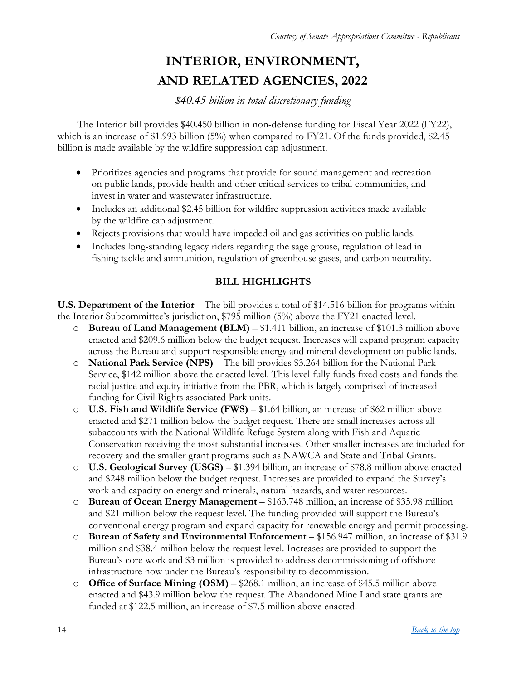# **INTERIOR, ENVIRONMENT, AND RELATED AGENCIES, 2022**

*\$40.45 billion in total discretionary funding*

<span id="page-13-0"></span>The Interior bill provides \$40.450 billion in non-defense funding for Fiscal Year 2022 (FY22), which is an increase of \$1.993 billion (5%) when compared to FY21. Of the funds provided, \$2.45 billion is made available by the wildfire suppression cap adjustment.

- Prioritizes agencies and programs that provide for sound management and recreation on public lands, provide health and other critical services to tribal communities, and invest in water and wastewater infrastructure.
- Includes an additional \$2.45 billion for wildfire suppression activities made available by the wildfire cap adjustment.
- Rejects provisions that would have impeded oil and gas activities on public lands.
- Includes long-standing legacy riders regarding the sage grouse, regulation of lead in fishing tackle and ammunition, regulation of greenhouse gases, and carbon neutrality.

#### **BILL HIGHLIGHTS**

**U.S. Department of the Interior** – The bill provides a total of \$14.516 billion for programs within the Interior Subcommittee's jurisdiction, \$795 million (5%) above the FY21 enacted level.

- o **Bureau of Land Management (BLM)** \$1.411 billion, an increase of \$101.3 million above enacted and \$209.6 million below the budget request. Increases will expand program capacity across the Bureau and support responsible energy and mineral development on public lands.
- o **National Park Service (NPS)** The bill provides \$3.264 billion for the National Park Service, \$142 million above the enacted level. This level fully funds fixed costs and funds the racial justice and equity initiative from the PBR, which is largely comprised of increased funding for Civil Rights associated Park units.
- o **U.S. Fish and Wildlife Service (FWS)** \$1.64 billion, an increase of \$62 million above enacted and \$271 million below the budget request. There are small increases across all subaccounts with the National Wildlife Refuge System along with Fish and Aquatic Conservation receiving the most substantial increases. Other smaller increases are included for recovery and the smaller grant programs such as NAWCA and State and Tribal Grants.
- o **U.S. Geological Survey (USGS)** \$1.394 billion, an increase of \$78.8 million above enacted and \$248 million below the budget request. Increases are provided to expand the Survey's work and capacity on energy and minerals, natural hazards, and water resources.
- o **Bureau of Ocean Energy Management** \$163.748 million, an increase of \$35.98 million and \$21 million below the request level. The funding provided will support the Bureau's conventional energy program and expand capacity for renewable energy and permit processing.
- o **Bureau of Safety and Environmental Enforcement** \$156.947 million, an increase of \$31.9 million and \$38.4 million below the request level. Increases are provided to support the Bureau's core work and \$3 million is provided to address decommissioning of offshore infrastructure now under the Bureau's responsibility to decommission.
- o **Office of Surface Mining (OSM)** \$268.1 million, an increase of \$45.5 million above enacted and \$43.9 million below the request. The Abandoned Mine Land state grants are funded at \$122.5 million, an increase of \$7.5 million above enacted.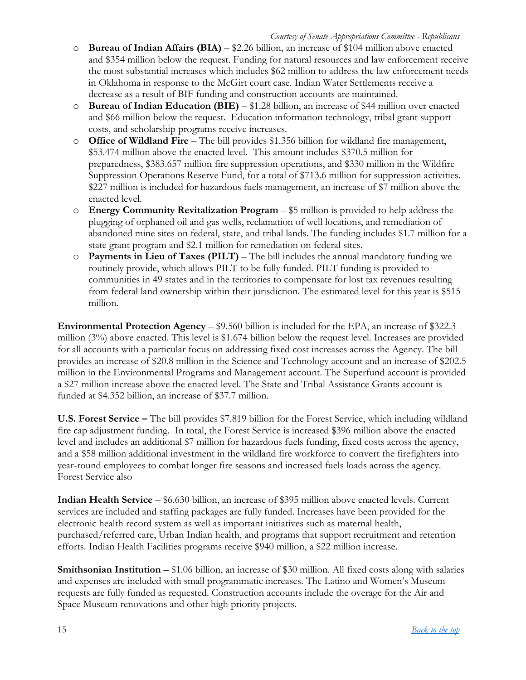- o **Bureau of Indian Affairs (BIA)** \$2.26 billion, an increase of \$104 million above enacted and \$354 million below the request. Funding for natural resources and law enforcement receive the most substantial increases which includes \$62 million to address the law enforcement needs in Oklahoma in response to the McGirt court case. Indian Water Settlements receive a decrease as a result of BIF funding and construction accounts are maintained.
- o **Bureau of Indian Education (BIE)** \$1.28 billion, an increase of \$44 million over enacted and \$66 million below the request. Education information technology, tribal grant support costs, and scholarship programs receive increases.
- o **Office of Wildland Fire** The bill provides \$1.356 billion for wildland fire management, \$53.474 million above the enacted level. This amount includes \$370.5 million for preparedness, \$383.657 million fire suppression operations, and \$330 million in the Wildfire Suppression Operations Reserve Fund, for a total of \$713.6 million for suppression activities. \$227 million is included for hazardous fuels management, an increase of \$7 million above the enacted level.
- o **Energy Community Revitalization Program** \$5 million is provided to help address the plugging of orphaned oil and gas wells, reclamation of well locations, and remediation of abandoned mine sites on federal, state, and tribal lands. The funding includes \$1.7 million for a state grant program and \$2.1 million for remediation on federal sites.
- o **Payments in Lieu of Taxes (PILT)** The bill includes the annual mandatory funding we routinely provide, which allows PILT to be fully funded. PILT funding is provided to communities in 49 states and in the territories to compensate for lost tax revenues resulting from federal land ownership within their jurisdiction. The estimated level for this year is \$515 million.

**Environmental Protection Agency** – \$9.560 billion is included for the EPA, an increase of \$322.3 million  $(3%)$  above enacted. This level is \$1.674 billion below the request level. Increases are provided for all accounts with a particular focus on addressing fixed cost increases across the Agency. The bill provides an increase of \$20.8 million in the Science and Technology account and an increase of \$202.5 million in the Environmental Programs and Management account. The Superfund account is provided a \$27 million increase above the enacted level. The State and Tribal Assistance Grants account is funded at \$4.352 billion, an increase of \$37.7 million.

**U.S. Forest Service –** The bill provides \$7.819 billion for the Forest Service, which including wildland fire cap adjustment funding. In total, the Forest Service is increased \$396 million above the enacted level and includes an additional \$7 million for hazardous fuels funding, fixed costs across the agency, and a \$58 million additional investment in the wildland fire workforce to convert the firefighters into year-round employees to combat longer fire seasons and increased fuels loads across the agency. Forest Service also

**Indian Health Service** – \$6.630 billion, an increase of \$395 million above enacted levels. Current services are included and staffing packages are fully funded. Increases have been provided for the electronic health record system as well as important initiatives such as maternal health, purchased/referred care, Urban Indian health, and programs that support recruitment and retention efforts. Indian Health Facilities programs receive \$940 million, a \$22 million increase.

**Smithsonian Institution** – \$1.06 billion, an increase of \$30 million. All fixed costs along with salaries and expenses are included with small programmatic increases. The Latino and Women's Museum requests are fully funded as requested. Construction accounts include the overage for the Air and Space Museum renovations and other high priority projects.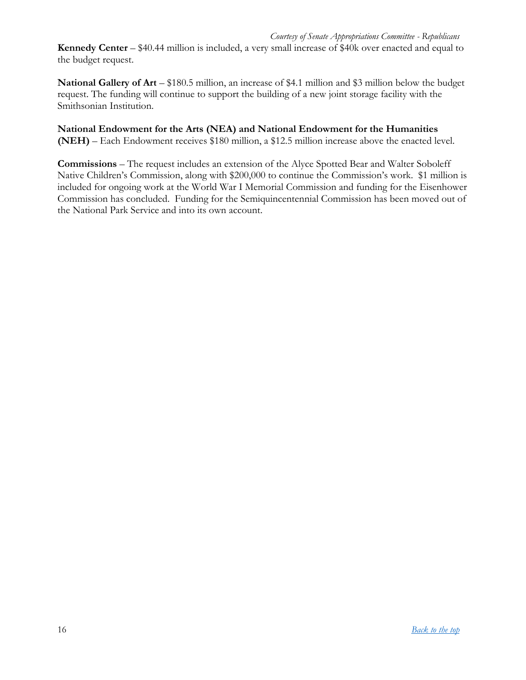**Kennedy Center** – \$40.44 million is included, a very small increase of \$40k over enacted and equal to the budget request.

**National Gallery of Art** – \$180.5 million, an increase of \$4.1 million and \$3 million below the budget request. The funding will continue to support the building of a new joint storage facility with the Smithsonian Institution.

**National Endowment for the Arts (NEA) and National Endowment for the Humanities (NEH)** – Each Endowment receives \$180 million, a \$12.5 million increase above the enacted level.

**Commissions** – The request includes an extension of the Alyce Spotted Bear and Walter Soboleff Native Children's Commission, along with \$200,000 to continue the Commission's work. \$1 million is included for ongoing work at the World War I Memorial Commission and funding for the Eisenhower Commission has concluded. Funding for the Semiquincentennial Commission has been moved out of the National Park Service and into its own account.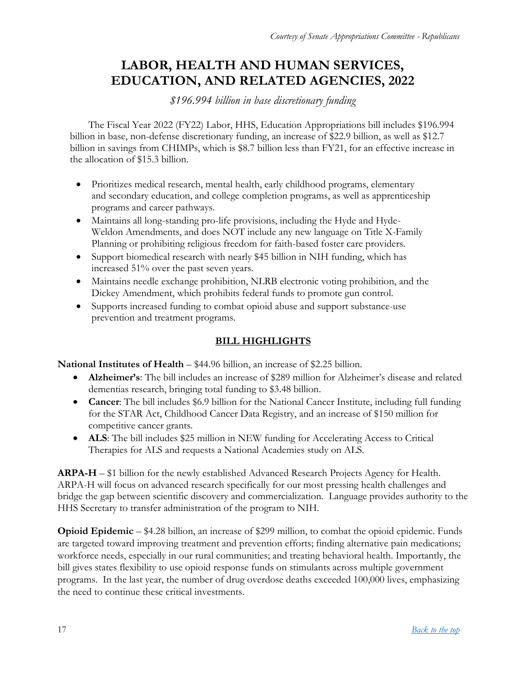# <span id="page-16-0"></span>**LABOR, HEALTH AND HUMAN SERVICES, EDUCATION, AND RELATED AGENCIES, 2022**

*\$196.994 billion in base discretionary funding*

The Fiscal Year 2022 (FY22) Labor, HHS, Education Appropriations bill includes \$196.994 billion in base, non-defense discretionary funding, an increase of \$22.9 billion, as well as \$12.7 billion in savings from CHIMPs, which is \$8.7 billion less than FY21, for an effective increase in the allocation of \$15.3 billion.

- Prioritizes medical research, mental health, early childhood programs, elementary and secondary education, and college completion programs, as well as apprenticeship programs and career pathways.
- Maintains all long-standing pro-life provisions, including the Hyde and Hyde-Weldon Amendments, and does NOT include any new language on Title X-Family Planning or prohibiting religious freedom for faith-based foster care providers.
- Support biomedical research with nearly \$45 billion in NIH funding, which has increased 51% over the past seven years.
- Maintains needle exchange prohibition, NLRB electronic voting prohibition, and the Dickey Amendment, which prohibits federal funds to promote gun control.
- Supports increased funding to combat opioid abuse and support substance-use prevention and treatment programs.

## **BILL HIGHLIGHTS**

**National Institutes of Health – \$44.96 billion, an increase of \$2.25 billion.** 

- **Alzheimer's**: The bill includes an increase of \$289 million for Alzheimer's disease and related dementias research, bringing total funding to \$3.48 billion.
- **Cancer**: The bill includes \$6.9 billion for the National Cancer Institute, including full funding for the STAR Act, Childhood Cancer Data Registry, and an increase of \$150 million for competitive cancer grants.
- **ALS**: The bill includes \$25 million in NEW funding for Accelerating Access to Critical Therapies for ALS and requests a National Academies study on ALS.

**ARPA-H** – \$1 billion for the newly established Advanced Research Projects Agency for Health. ARPA-H will focus on advanced research specifically for our most pressing health challenges and bridge the gap between scientific discovery and commercialization. Language provides authority to the HHS Secretary to transfer administration of the program to NIH.

**Opioid Epidemic** – \$4.28 billion, an increase of \$299 million, to combat the opioid epidemic. Funds are targeted toward improving treatment and prevention efforts; finding alternative pain medications; workforce needs, especially in our rural communities; and treating behavioral health. Importantly, the bill gives states flexibility to use opioid response funds on stimulants across multiple government programs. In the last year, the number of drug overdose deaths exceeded 100,000 lives, emphasizing the need to continue these critical investments.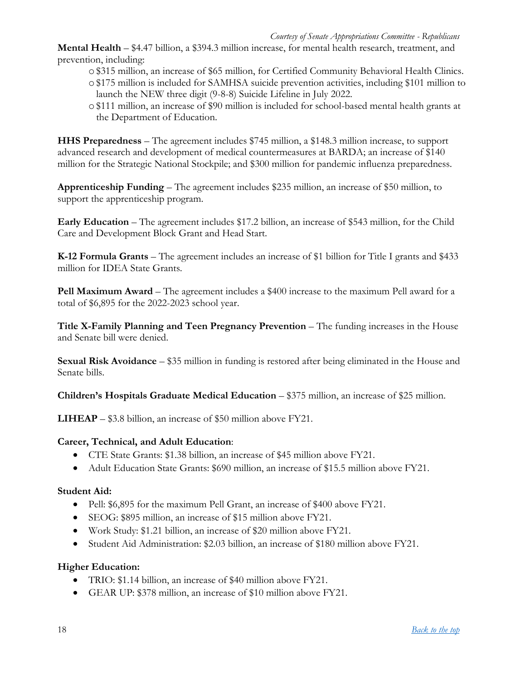**Mental Health** – \$4.47 billion, a \$394.3 million increase, for mental health research, treatment, and prevention, including:

- o\$315 million, an increase of \$65 million, for Certified Community Behavioral Health Clinics.
- o\$175 million is included for SAMHSA suicide prevention activities, including \$101 million to launch the NEW three digit (9-8-8) Suicide Lifeline in July 2022.
- o\$111 million, an increase of \$90 million is included for school-based mental health grants at the Department of Education.

**HHS Preparedness** – The agreement includes \$745 million, a \$148.3 million increase, to support advanced research and development of medical countermeasures at BARDA; an increase of \$140 million for the Strategic National Stockpile; and \$300 million for pandemic influenza preparedness.

**Apprenticeship Funding** – The agreement includes \$235 million, an increase of \$50 million, to support the apprenticeship program.

**Early Education** – The agreement includes \$17.2 billion, an increase of \$543 million, for the Child Care and Development Block Grant and Head Start.

**K-12 Formula Grants** – The agreement includes an increase of \$1 billion for Title I grants and \$433 million for IDEA State Grants.

**Pell Maximum Award –** The agreement includes a \$400 increase to the maximum Pell award for a total of \$6,895 for the 2022-2023 school year.

**Title X-Family Planning and Teen Pregnancy Prevention** – The funding increases in the House and Senate bill were denied.

**Sexual Risk Avoidance** – \$35 million in funding is restored after being eliminated in the House and Senate bills.

**Children's Hospitals Graduate Medical Education** – \$375 million, an increase of \$25 million.

**LIHEAP** – \$3.8 billion, an increase of \$50 million above FY21.

#### **Career, Technical, and Adult Education**:

- CTE State Grants: \$1.38 billion, an increase of \$45 million above FY21.
- Adult Education State Grants: \$690 million, an increase of \$15.5 million above FY21.

#### **Student Aid:**

- Pell: \$6,895 for the maximum Pell Grant, an increase of \$400 above FY21.
- SEOG: \$895 million, an increase of \$15 million above FY21.
- Work Study: \$1.21 billion, an increase of \$20 million above FY21.
- Student Aid Administration: \$2.03 billion, an increase of \$180 million above FY21.

#### **Higher Education:**

- TRIO: \$1.14 billion, an increase of \$40 million above FY21.
- GEAR UP: \$378 million, an increase of \$10 million above FY21.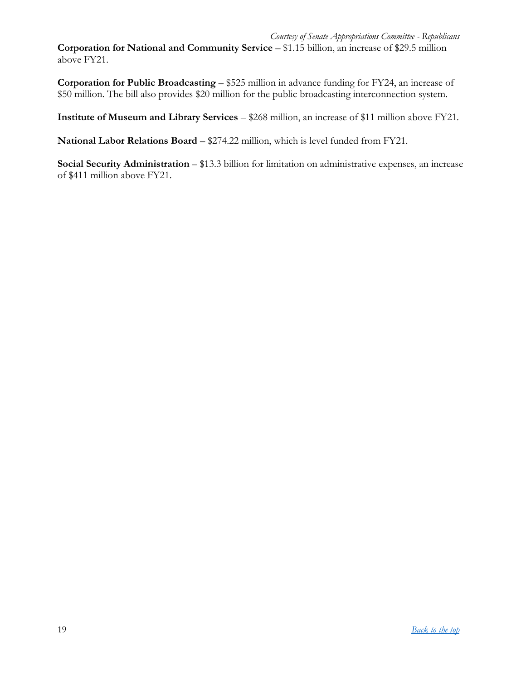**Corporation for National and Community Service** – \$1.15 billion, an increase of \$29.5 million above FY21.

**Corporation for Public Broadcasting** – \$525 million in advance funding for FY24, an increase of \$50 million. The bill also provides \$20 million for the public broadcasting interconnection system.

**Institute of Museum and Library Services** – \$268 million, an increase of \$11 million above FY21.

**National Labor Relations Board** – \$274.22 million, which is level funded from FY21.

**Social Security Administration** – \$13.3 billion for limitation on administrative expenses, an increase of \$411 million above FY21.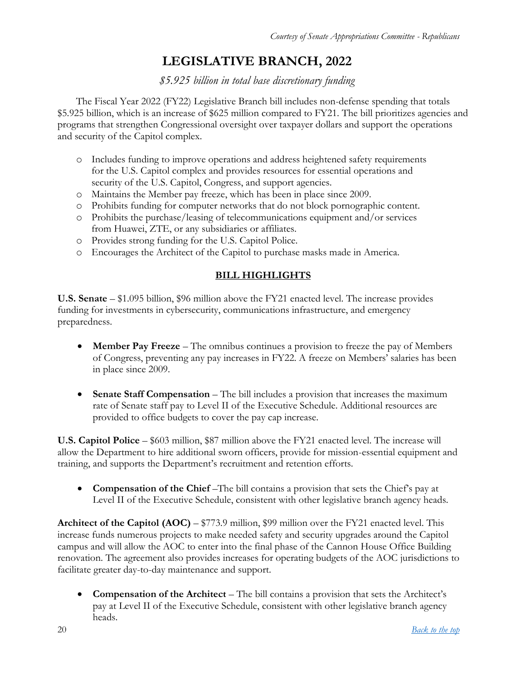# **LEGISLATIVE BRANCH, 2022**

### *\$5.925 billion in total base discretionary funding*

<span id="page-19-0"></span>The Fiscal Year 2022 (FY22) Legislative Branch bill includes non-defense spending that totals \$5.925 billion, which is an increase of \$625 million compared to FY21. The bill prioritizes agencies and programs that strengthen Congressional oversight over taxpayer dollars and support the operations and security of the Capitol complex.

- o Includes funding to improve operations and address heightened safety requirements for the U.S. Capitol complex and provides resources for essential operations and security of the U.S. Capitol, Congress, and support agencies.
- o Maintains the Member pay freeze, which has been in place since 2009.
- o Prohibits funding for computer networks that do not block pornographic content.
- o Prohibits the purchase/leasing of telecommunications equipment and/or services from Huawei, ZTE, or any subsidiaries or affiliates.
- o Provides strong funding for the U.S. Capitol Police.
- o Encourages the Architect of the Capitol to purchase masks made in America.

#### **BILL HIGHLIGHTS**

**U.S. Senate** – \$1.095 billion, \$96 million above the FY21 enacted level. The increase provides funding for investments in cybersecurity, communications infrastructure, and emergency preparedness.

- **Member Pay Freeze**  The omnibus continues a provision to freeze the pay of Members of Congress, preventing any pay increases in FY22. A freeze on Members' salaries has been in place since 2009.
- **Senate Staff Compensation** The bill includes a provision that increases the maximum rate of Senate staff pay to Level II of the Executive Schedule. Additional resources are provided to office budgets to cover the pay cap increase.

**U.S. Capitol Police** – \$603 million, \$87 million above the FY21 enacted level. The increase will allow the Department to hire additional sworn officers, provide for mission-essential equipment and training, and supports the Department's recruitment and retention efforts.

**Compensation of the Chief** –The bill contains a provision that sets the Chief's pay at Level II of the Executive Schedule, consistent with other legislative branch agency heads.

**Architect of the Capitol (AOC)** – \$773.9 million, \$99 million over the FY21 enacted level. This increase funds numerous projects to make needed safety and security upgrades around the Capitol campus and will allow the AOC to enter into the final phase of the Cannon House Office Building renovation. The agreement also provides increases for operating budgets of the AOC jurisdictions to facilitate greater day-to-day maintenance and support.

 **Compensation of the Architect** – The bill contains a provision that sets the Architect's pay at Level II of the Executive Schedule, consistent with other legislative branch agency heads.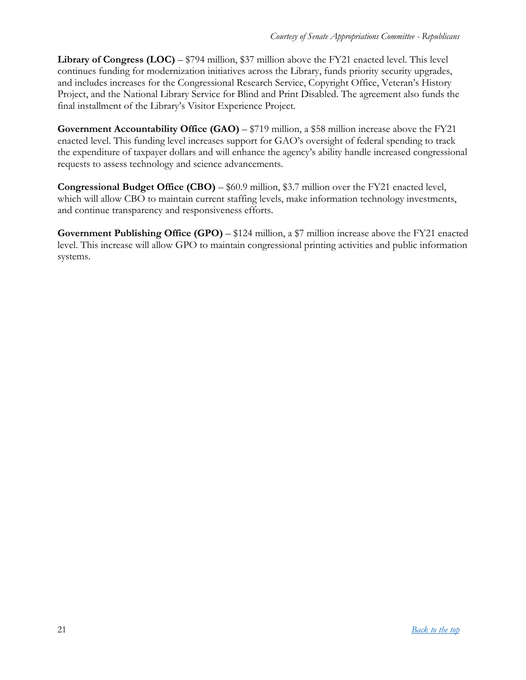**Library of Congress (LOC)** – \$794 million, \$37 million above the FY21 enacted level. This level continues funding for modernization initiatives across the Library, funds priority security upgrades, and includes increases for the Congressional Research Service, Copyright Office, Veteran's History Project, and the National Library Service for Blind and Print Disabled. The agreement also funds the final installment of the Library's Visitor Experience Project.

**Government Accountability Office (GAO) – \$719 million, a \$58 million increase above the FY21** enacted level. This funding level increases support for GAO's oversight of federal spending to track the expenditure of taxpayer dollars and will enhance the agency's ability handle increased congressional requests to assess technology and science advancements.

**Congressional Budget Office (CBO)** – \$60.9 million, \$3.7 million over the FY21 enacted level, which will allow CBO to maintain current staffing levels, make information technology investments, and continue transparency and responsiveness efforts.

**Government Publishing Office (GPO)** – \$124 million, a \$7 million increase above the FY21 enacted level. This increase will allow GPO to maintain congressional printing activities and public information systems.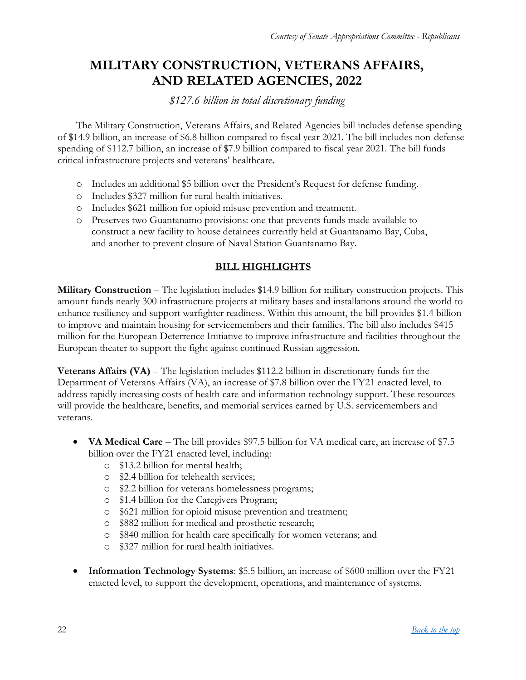# <span id="page-21-0"></span>**MILITARY CONSTRUCTION, VETERANS AFFAIRS, AND RELATED AGENCIES, 2022**

### *\$127.6 billion in total discretionary funding*

The Military Construction, Veterans Affairs, and Related Agencies bill includes defense spending of \$14.9 billion, an increase of \$6.8 billion compared to fiscal year 2021. The bill includes non-defense spending of \$112.7 billion, an increase of \$7.9 billion compared to fiscal year 2021. The bill funds critical infrastructure projects and veterans' healthcare.

- o Includes an additional \$5 billion over the President's Request for defense funding.
- o Includes \$327 million for rural health initiatives.
- o Includes \$621 million for opioid misuse prevention and treatment.
- o Preserves two Guantanamo provisions: one that prevents funds made available to construct a new facility to house detainees currently held at Guantanamo Bay, Cuba, and another to prevent closure of Naval Station Guantanamo Bay.

#### **BILL HIGHLIGHTS**

**Military Construction** – The legislation includes \$14.9 billion for military construction projects. This amount funds nearly 300 infrastructure projects at military bases and installations around the world to enhance resiliency and support warfighter readiness. Within this amount, the bill provides \$1.4 billion to improve and maintain housing for servicemembers and their families. The bill also includes \$415 million for the European Deterrence Initiative to improve infrastructure and facilities throughout the European theater to support the fight against continued Russian aggression.

**Veterans Affairs (VA)** – The legislation includes \$112.2 billion in discretionary funds for the Department of Veterans Affairs (VA), an increase of \$7.8 billion over the FY21 enacted level, to address rapidly increasing costs of health care and information technology support. These resources will provide the healthcare, benefits, and memorial services earned by U.S. servicemembers and veterans.

- **VA Medical Care** The bill provides \$97.5 billion for VA medical care, an increase of \$7.5 billion over the FY21 enacted level, including:
	- o \$13.2 billion for mental health;
	- o \$2.4 billion for telehealth services;
	- o \$2.2 billion for veterans homelessness programs;
	- o \$1.4 billion for the Caregivers Program;
	- o \$621 million for opioid misuse prevention and treatment;
	- o \$882 million for medical and prosthetic research;
	- o \$840 million for health care specifically for women veterans; and
	- o \$327 million for rural health initiatives.
- **Information Technology Systems**: \$5.5 billion, an increase of \$600 million over the FY21 enacted level, to support the development, operations, and maintenance of systems.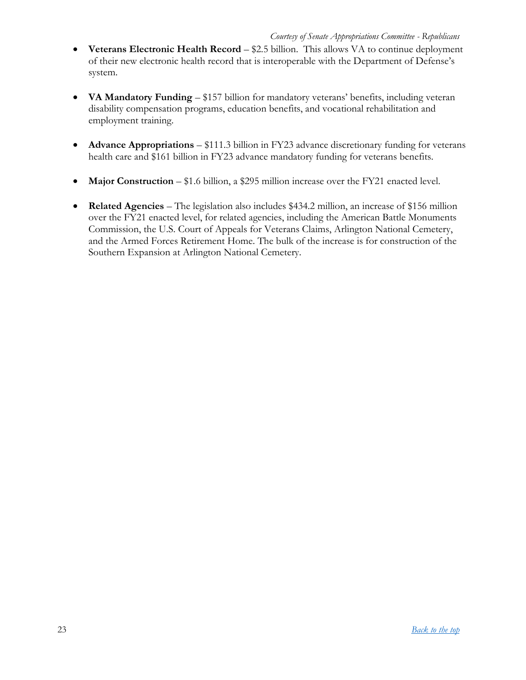- **Veterans Electronic Health Record** \$2.5 billion. This allows VA to continue deployment of their new electronic health record that is interoperable with the Department of Defense's system.
- **VA Mandatory Funding** \$157 billion for mandatory veterans' benefits, including veteran disability compensation programs, education benefits, and vocational rehabilitation and employment training.
- **Advance Appropriations** \$111.3 billion in FY23 advance discretionary funding for veterans health care and \$161 billion in FY23 advance mandatory funding for veterans benefits.
- Major Construction \$1.6 billion, a \$295 million increase over the FY21 enacted level.
- **Related Agencies** The legislation also includes \$434.2 million, an increase of \$156 million over the FY21 enacted level, for related agencies, including the American Battle Monuments Commission, the U.S. Court of Appeals for Veterans Claims, Arlington National Cemetery, and the Armed Forces Retirement Home. The bulk of the increase is for construction of the Southern Expansion at Arlington National Cemetery.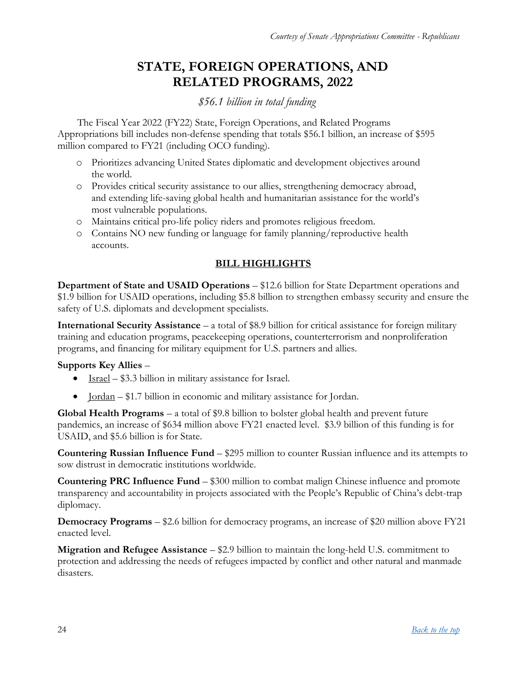# **STATE, FOREIGN OPERATIONS, AND RELATED PROGRAMS, 2022**

## *\$56.1 billion in total funding*

<span id="page-23-0"></span>The Fiscal Year 2022 (FY22) State, Foreign Operations, and Related Programs Appropriations bill includes non-defense spending that totals \$56.1 billion, an increase of \$595 million compared to FY21 (including OCO funding).

- o Prioritizes advancing United States diplomatic and development objectives around the world.
- o Provides critical security assistance to our allies, strengthening democracy abroad, and extending life-saving global health and humanitarian assistance for the world's most vulnerable populations.
- o Maintains critical pro-life policy riders and promotes religious freedom.
- o Contains NO new funding or language for family planning/reproductive health accounts.

#### **BILL HIGHLIGHTS**

**Department of State and USAID Operations – \$12.6 billion for State Department operations and** \$1.9 billion for USAID operations, including \$5.8 billion to strengthen embassy security and ensure the safety of U.S. diplomats and development specialists.

**International Security Assistance** – a total of \$8.9 billion for critical assistance for foreign military training and education programs, peacekeeping operations, counterterrorism and nonproliferation programs, and financing for military equipment for U.S. partners and allies.

#### **Supports Key Allies** –

- $\bullet$  Israel \$3.3 billion in military assistance for Israel.
- <u>Jordan</u> \$1.7 billion in economic and military assistance for Jordan.

**Global Health Programs** – a total of \$9.8 billion to bolster global health and prevent future pandemics, an increase of \$634 million above FY21 enacted level. \$3.9 billion of this funding is for USAID, and \$5.6 billion is for State.

**Countering Russian Influence Fund** – \$295 million to counter Russian influence and its attempts to sow distrust in democratic institutions worldwide.

**Countering PRC Influence Fund** – \$300 million to combat malign Chinese influence and promote transparency and accountability in projects associated with the People's Republic of China's debt-trap diplomacy.

**Democracy Programs** – \$2.6 billion for democracy programs, an increase of \$20 million above FY21 enacted level.

**Migration and Refugee Assistance** – \$2.9 billion to maintain the long-held U.S. commitment to protection and addressing the needs of refugees impacted by conflict and other natural and manmade disasters.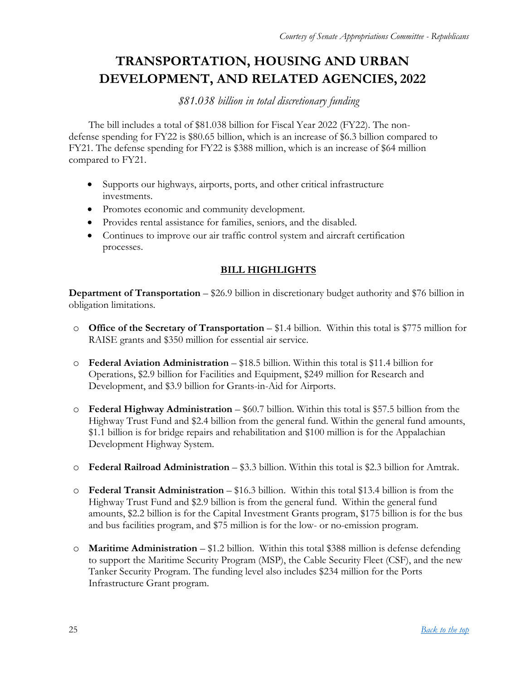# <span id="page-24-0"></span>**TRANSPORTATION, HOUSING AND URBAN DEVELOPMENT, AND RELATED AGENCIES, 2022**

*\$81.038 billion in total discretionary funding*

The bill includes a total of \$81.038 billion for Fiscal Year 2022 (FY22). The nondefense spending for FY22 is \$80.65 billion, which is an increase of \$6.3 billion compared to FY21. The defense spending for FY22 is \$388 million, which is an increase of \$64 million compared to FY21.

- Supports our highways, airports, ports, and other critical infrastructure investments.
- Promotes economic and community development.
- Provides rental assistance for families, seniors, and the disabled.
- Continues to improve our air traffic control system and aircraft certification processes.

#### **BILL HIGHLIGHTS**

**Department of Transportation** – \$26.9 billion in discretionary budget authority and \$76 billion in obligation limitations.

- o **Office of the Secretary of Transportation** \$1.4 billion. Within this total is \$775 million for RAISE grants and \$350 million for essential air service.
- o **Federal Aviation Administration** \$18.5 billion. Within this total is \$11.4 billion for Operations, \$2.9 billion for Facilities and Equipment, \$249 million for Research and Development, and \$3.9 billion for Grants-in-Aid for Airports.
- o **Federal Highway Administration** \$60.7 billion. Within this total is \$57.5 billion from the Highway Trust Fund and \$2.4 billion from the general fund. Within the general fund amounts, \$1.1 billion is for bridge repairs and rehabilitation and \$100 million is for the Appalachian Development Highway System.
- o **Federal Railroad Administration** \$3.3 billion. Within this total is \$2.3 billion for Amtrak.
- o **Federal Transit Administration** \$16.3 billion. Within this total \$13.4 billion is from the Highway Trust Fund and \$2.9 billion is from the general fund. Within the general fund amounts, \$2.2 billion is for the Capital Investment Grants program, \$175 billion is for the bus and bus facilities program, and \$75 million is for the low- or no-emission program.
- o **Maritime Administration** \$1.2 billion. Within this total \$388 million is defense defending to support the Maritime Security Program (MSP), the Cable Security Fleet (CSF), and the new Tanker Security Program. The funding level also includes \$234 million for the Ports Infrastructure Grant program.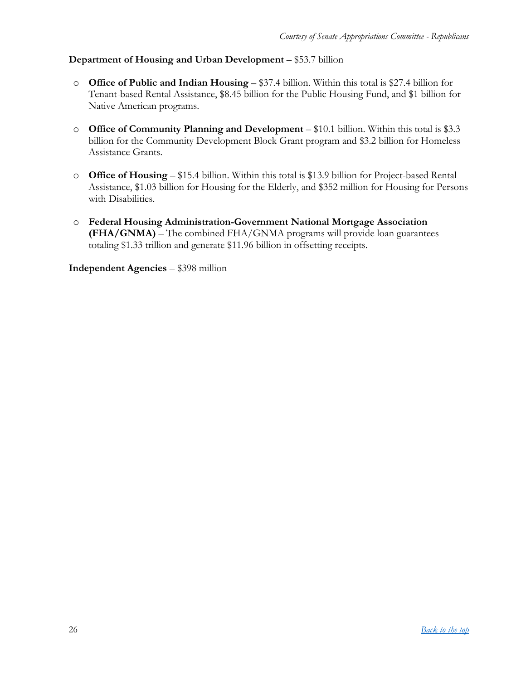#### **Department of Housing and Urban Development** – \$53.7 billion

- o **Office of Public and Indian Housing** \$37.4 billion. Within this total is \$27.4 billion for Tenant-based Rental Assistance, \$8.45 billion for the Public Housing Fund, and \$1 billion for Native American programs.
- o **Office of Community Planning and Development** \$10.1 billion. Within this total is \$3.3 billion for the Community Development Block Grant program and \$3.2 billion for Homeless Assistance Grants.
- o **Office of Housing** \$15.4 billion. Within this total is \$13.9 billion for Project-based Rental Assistance, \$1.03 billion for Housing for the Elderly, and \$352 million for Housing for Persons with Disabilities.
- o **Federal Housing Administration-Government National Mortgage Association (FHA/GNMA)** – The combined FHA/GNMA programs will provide loan guarantees totaling \$1.33 trillion and generate \$11.96 billion in offsetting receipts.

**Independent Agencies** – \$398 million